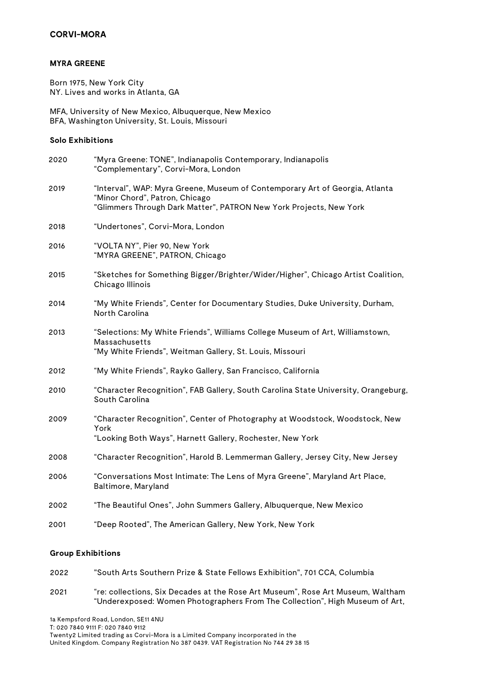### **MYRA GREENE**

Born 1975, New York City NY. Lives and works in Atlanta, GA

MFA, University of New Mexico, Albuquerque, New Mexico BFA, Washington University, St. Louis, Missouri

### **Solo Exhibitions**

| 2020 | "Myra Greene: TONE", Indianapolis Contemporary, Indianapolis<br>"Complementary", Corvi-Mora, London                                                                                  |
|------|--------------------------------------------------------------------------------------------------------------------------------------------------------------------------------------|
| 2019 | "Interval", WAP: Myra Greene, Museum of Contemporary Art of Georgia, Atlanta<br>"Minor Chord", Patron, Chicago<br>"Glimmers Through Dark Matter", PATRON New York Projects, New York |
| 2018 | "Undertones", Corvi-Mora, London                                                                                                                                                     |
| 2016 | "VOLTA NY", Pier 90, New York<br>"MYRA GREENE", PATRON, Chicago                                                                                                                      |
| 2015 | "Sketches for Something Bigger/Brighter/Wider/Higher", Chicago Artist Coalition,<br>Chicago Illinois                                                                                 |
| 2014 | "My White Friends", Center for Documentary Studies, Duke University, Durham,<br>North Carolina                                                                                       |
| 2013 | "Selections: My White Friends", Williams College Museum of Art, Williamstown,<br>Massachusetts<br>"My White Friends", Weitman Gallery, St. Louis, Missouri                           |
| 2012 | "My White Friends", Rayko Gallery, San Francisco, California                                                                                                                         |
| 2010 | "Character Recognition", FAB Gallery, South Carolina State University, Orangeburg,<br>South Carolina                                                                                 |
| 2009 | "Character Recognition", Center of Photography at Woodstock, Woodstock, New<br>York<br>"Looking Both Ways", Harnett Gallery, Rochester, New York                                     |
| 2008 | "Character Recognition", Harold B. Lemmerman Gallery, Jersey City, New Jersey                                                                                                        |
| 2006 | "Conversations Most Intimate: The Lens of Myra Greene", Maryland Art Place,<br>Baltimore, Maryland                                                                                   |
| 2002 | "The Beautiful Ones", John Summers Gallery, Albuquerque, New Mexico                                                                                                                  |
| 2001 | "Deep Rooted", The American Gallery, New York, New York                                                                                                                              |

### **Group Exhibitions**

| 2022 | - "South Arts Southern Prize & State Fellows Exhibition". 701 CCA. Columbia |
|------|-----------------------------------------------------------------------------|
|      |                                                                             |

2021 "re: collections, Six Decades at the Rose Art Museum", Rose Art Museum, Waltham "Underexposed: Women Photographers From The Collection", High Museum of Art,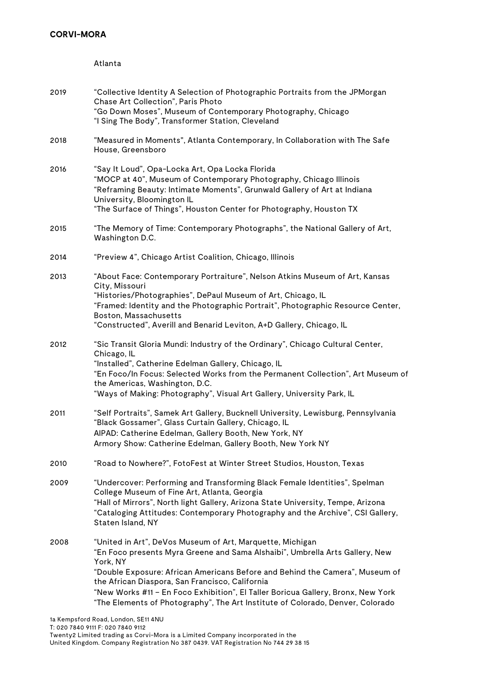Atlanta

| 2019 | "Collective Identity A Selection of Photographic Portraits from the JPMorgan<br>Chase Art Collection", Paris Photo<br>"Go Down Moses", Museum of Contemporary Photography, Chicago<br>"I Sing The Body", Transformer Station, Cleveland                                                                                                                                                                                                                        |
|------|----------------------------------------------------------------------------------------------------------------------------------------------------------------------------------------------------------------------------------------------------------------------------------------------------------------------------------------------------------------------------------------------------------------------------------------------------------------|
| 2018 | "Measured in Moments", Atlanta Contemporary, In Collaboration with The Safe<br>House, Greensboro                                                                                                                                                                                                                                                                                                                                                               |
| 2016 | "Say It Loud", Opa-Locka Art, Opa Locka Florida<br>"MOCP at 40", Museum of Contemporary Photography, Chicago Illinois<br>"Reframing Beauty: Intimate Moments", Grunwald Gallery of Art at Indiana<br>University, Bloomington IL<br>"The Surface of Things", Houston Center for Photography, Houston TX                                                                                                                                                         |
| 2015 | "The Memory of Time: Contemporary Photographs", the National Gallery of Art,<br>Washington D.C.                                                                                                                                                                                                                                                                                                                                                                |
| 2014 | "Preview 4", Chicago Artist Coalition, Chicago, Illinois                                                                                                                                                                                                                                                                                                                                                                                                       |
| 2013 | "About Face: Contemporary Portraiture", Nelson Atkins Museum of Art, Kansas<br>City, Missouri<br>"Histories/Photographies", DePaul Museum of Art, Chicago, IL<br>"Framed: Identity and the Photographic Portrait", Photographic Resource Center,<br>Boston, Massachusetts<br>"Constructed", Averill and Benarid Leviton, A+D Gallery, Chicago, IL                                                                                                              |
| 2012 | "Sic Transit Gloria Mundi: Industry of the Ordinary", Chicago Cultural Center,<br>Chicago, IL<br>"Installed", Catherine Edelman Gallery, Chicago, IL<br>"En Foco/In Focus: Selected Works from the Permanent Collection", Art Museum of<br>the Americas, Washington, D.C.<br>"Ways of Making: Photography", Visual Art Gallery, University Park, IL                                                                                                            |
| 2011 | "Self Portraits", Samek Art Gallery, Bucknell University, Lewisburg, Pennsylvania<br>"Black Gossamer", Glass Curtain Gallery, Chicago, IL<br>AIPAD: Catherine Edelman, Gallery Booth, New York, NY<br>Armory Show: Catherine Edelman, Gallery Booth, New York NY                                                                                                                                                                                               |
| 2010 | "Road to Nowhere?", FotoFest at Winter Street Studios, Houston, Texas                                                                                                                                                                                                                                                                                                                                                                                          |
| 2009 | "Undercover: Performing and Transforming Black Female Identities", Spelman<br>College Museum of Fine Art, Atlanta, Georgia<br>"Hall of Mirrors", North light Gallery, Arizona State University, Tempe, Arizona<br>"Cataloging Attitudes: Contemporary Photography and the Archive", CSI Gallery,<br>Staten Island, NY                                                                                                                                          |
| 2008 | "United in Art", DeVos Museum of Art, Marquette, Michigan<br>"En Foco presents Myra Greene and Sama Alshaibi", Umbrella Arts Gallery, New<br>York, NY<br>"Double Exposure: African Americans Before and Behind the Camera", Museum of<br>the African Diaspora, San Francisco, California<br>"New Works #11 - En Foco Exhibition", El Taller Boricua Gallery, Bronx, New York<br>"The Elements of Photography", The Art Institute of Colorado, Denver, Colorado |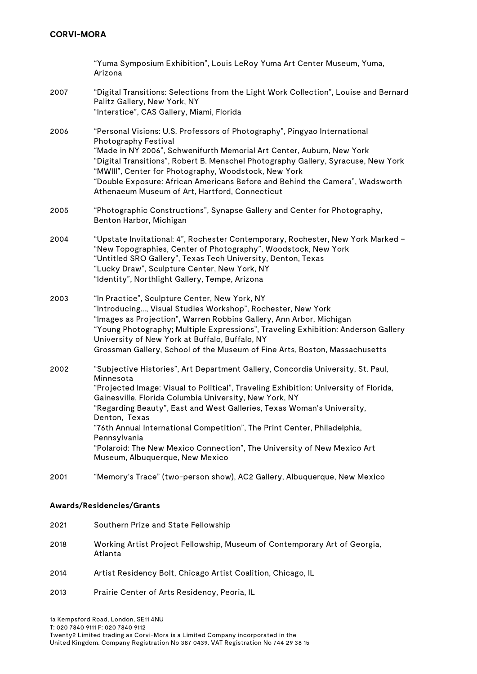|      | "Yuma Symposium Exhibition", Louis LeRoy Yuma Art Center Museum, Yuma,<br>Arizona                                                                                                                                                                                                                                                                                                                                                                                                                                                                   |
|------|-----------------------------------------------------------------------------------------------------------------------------------------------------------------------------------------------------------------------------------------------------------------------------------------------------------------------------------------------------------------------------------------------------------------------------------------------------------------------------------------------------------------------------------------------------|
| 2007 | "Digital Transitions: Selections from the Light Work Collection", Louise and Bernard<br>Palitz Gallery, New York, NY<br>"Interstice", CAS Gallery, Miami, Florida                                                                                                                                                                                                                                                                                                                                                                                   |
| 2006 | "Personal Visions: U.S. Professors of Photography", Pingyao International<br>Photography Festival<br>"Made in NY 2006", Schwenifurth Memorial Art Center, Auburn, New York<br>"Digital Transitions", Robert B. Menschel Photography Gallery, Syracuse, New York<br>"MWIII", Center for Photography, Woodstock, New York<br>"Double Exposure: African Americans Before and Behind the Camera", Wadsworth<br>Athenaeum Museum of Art, Hartford, Connecticut                                                                                           |
| 2005 | "Photographic Constructions", Synapse Gallery and Center for Photography,<br>Benton Harbor, Michigan                                                                                                                                                                                                                                                                                                                                                                                                                                                |
| 2004 | "Upstate Invitational: 4", Rochester Contemporary, Rochester, New York Marked -<br>"New Topographies, Center of Photography", Woodstock, New York<br>"Untitled SRO Gallery", Texas Tech University, Denton, Texas<br>"Lucky Draw", Sculpture Center, New York, NY<br>"Identity", Northlight Gallery, Tempe, Arizona                                                                                                                                                                                                                                 |
| 2003 | "In Practice", Sculpture Center, New York, NY<br>"Introducing, Visual Studies Workshop", Rochester, New York<br>"Images as Projection", Warren Robbins Gallery, Ann Arbor, Michigan<br>"Young Photography; Multiple Expressions", Traveling Exhibition: Anderson Gallery<br>University of New York at Buffalo, Buffalo, NY<br>Grossman Gallery, School of the Museum of Fine Arts, Boston, Massachusetts                                                                                                                                            |
| 2002 | "Subjective Histories", Art Department Gallery, Concordia University, St. Paul,<br>Minnesota<br>"Projected Image: Visual to Political", Traveling Exhibition: University of Florida,<br>Gainesville, Florida Columbia University, New York, NY<br>"Regarding Beauty", East and West Galleries, Texas Woman's University,<br>Denton, Texas<br>"76th Annual International Competition", The Print Center, Philadelphia,<br>Pennsylvania<br>"Polaroid: The New Mexico Connection", The University of New Mexico Art<br>Museum, Albuquerque, New Mexico |
| 2001 | "Memory's Trace" (two-person show), AC2 Gallery, Albuquerque, New Mexico                                                                                                                                                                                                                                                                                                                                                                                                                                                                            |

# **Awards/Residencies/Grants**

| 2021 | Southern Prize and State Fellowship                                                  |
|------|--------------------------------------------------------------------------------------|
| 2018 | Working Artist Project Fellowship, Museum of Contemporary Art of Georgia,<br>Atlanta |
| 2014 | Artist Residency Bolt, Chicago Artist Coalition, Chicago, IL                         |

2013 Prairie Center of Arts Residency, Peoria, IL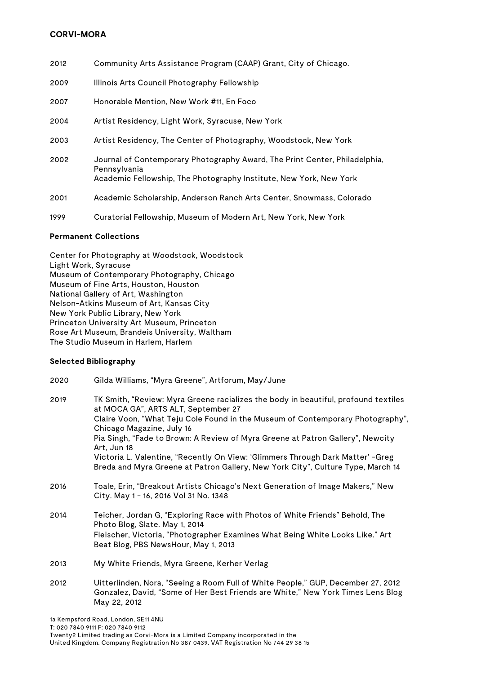- 2012 Community Arts Assistance Program (CAAP) Grant, City of Chicago.
- 2009 Illinois Arts Council Photography Fellowship
- 2007 Honorable Mention, New Work #11, En Foco
- 2004 Artist Residency, Light Work, Syracuse, New York
- 2003 Artist Residency, The Center of Photography, Woodstock, New York
- 2002 Journal of Contemporary Photography Award, The Print Center, Philadelphia, Pennsylvania Academic Fellowship, The Photography Institute, New York, New York
- 2001 Academic Scholarship, Anderson Ranch Arts Center, Snowmass, Colorado
- 1999 Curatorial Fellowship, Museum of Modern Art, New York, New York

### **Permanent Collections**

Center for Photography at Woodstock, Woodstock Light Work, Syracuse Museum of Contemporary Photography, Chicago Museum of Fine Arts, Houston, Houston National Gallery of Art, Washington Nelson-Atkins Museum of Art, Kansas City New York Public Library, New York Princeton University Art Museum, Princeton Rose Art Museum, Brandeis University, Waltham The Studio Museum in Harlem, Harlem

### **Selected Bibliography**

2020 Gilda Williams, "Myra Greene", Artforum, May/June 2019 TK Smith, "Review: Myra Greene racializes the body in beautiful, profound textiles at MOCA GA", ARTS ALT, September 27 Claire Voon, "What Teju Cole Found in the Museum of Contemporary Photography", Chicago Magazine, July 16 Pia Singh, "Fade to Brown: A Review of Myra Greene at Patron Gallery", Newcity Art, Jun 18 Victoria L. Valentine, "Recently On View: 'Glimmers Through Dark Matter' -Greg Breda and Myra Greene at Patron Gallery, New York City", Culture Type, March 14 2016 Toale, Erin, "Breakout Artists Chicago's Next Generation of Image Makers," New City. May 1 - 16, 2016 Vol 31 No. 1348 2014 Teicher, Jordan G, "Exploring Race with Photos of White Friends" Behold, The Photo Blog, Slate. May 1, 2014 Fleischer, Victoria, "Photographer Examines What Being White Looks Like." Art Beat Blog, PBS NewsHour, May 1, 2013 2013 My White Friends, Myra Greene, Kerher Verlag 2012 Uitterlinden, Nora, "Seeing a Room Full of White People," GUP, December 27, 2012 Gonzalez, David, "Some of Her Best Friends are White," New York Times Lens Blog

May 22, 2012